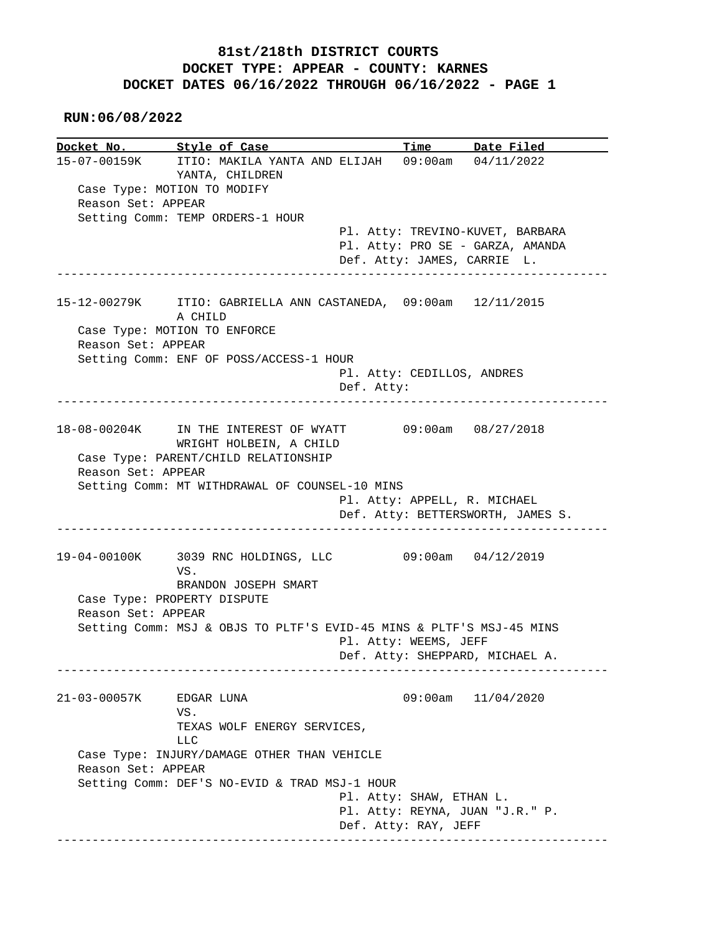## **81st/218th DISTRICT COURTS DOCKET TYPE: APPEAR - COUNTY: KARNES DOCKET DATES 06/16/2022 THROUGH 06/16/2022 - PAGE 1**

 **RUN:06/08/2022**

**Docket No. Style of Case Time Date Filed**<br>15-07-00159K ITIO: MAKILA YANTA AND ELIJAH 09:00am 04/11/2022 15-07-00159K ITIO: MAKILA YANTA AND ELIJAH 09:00am 04/11/2022 YANTA, CHILDREN Case Type: MOTION TO MODIFY Reason Set: APPEAR Setting Comm: TEMP ORDERS-1 HOUR Pl. Atty: TREVINO-KUVET, BARBARA Pl. Atty: PRO SE - GARZA, AMANDA Def. Atty: JAMES, CARRIE L. ------------------------------------------------------------------------------ 15-12-00279K ITIO: GABRIELLA ANN CASTANEDA, 09:00am 12/11/2015 A CHILD Case Type: MOTION TO ENFORCE Reason Set: APPEAR Setting Comm: ENF OF POSS/ACCESS-1 HOUR Pl. Atty: CEDILLOS, ANDRES Def. Atty: ------------------------------------------------------------------------------ 18-08-00204K IN THE INTEREST OF WYATT 09:00am 08/27/2018 WRIGHT HOLBEIN, A CHILD Case Type: PARENT/CHILD RELATIONSHIP Reason Set: APPEAR Setting Comm: MT WITHDRAWAL OF COUNSEL-10 MINS Pl. Atty: APPELL, R. MICHAEL Def. Atty: BETTERSWORTH, JAMES S. ------------------------------------------------------------------------------ 19-04-00100K 3039 RNC HOLDINGS, LLC 09:00am 04/12/2019 VS. BRANDON JOSEPH SMART Case Type: PROPERTY DISPUTE Reason Set: APPEAR Setting Comm: MSJ & OBJS TO PLTF'S EVID-45 MINS & PLTF'S MSJ-45 MINS Pl. Atty: WEEMS, JEFF Def. Atty: SHEPPARD, MICHAEL A. ------------------------------------------------------------------------------ 21-03-00057K EDGAR LUNA 09:00am 11/04/2020 VS. TEXAS WOLF ENERGY SERVICES, LLC Case Type: INJURY/DAMAGE OTHER THAN VEHICLE Reason Set: APPEAR Setting Comm: DEF'S NO-EVID & TRAD MSJ-1 HOUR Pl. Atty: SHAW, ETHAN L. Pl. Atty: REYNA, JUAN "J.R." P. Def. Atty: RAY, JEFF ------------------------------------------------------------------------------